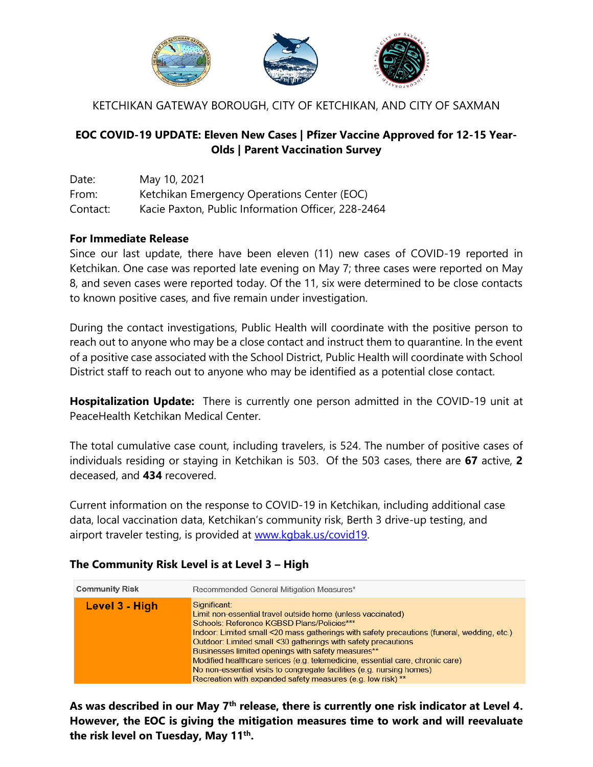

# KETCHIKAN GATEWAY BOROUGH, CITY OF KETCHIKAN, AND CITY OF SAXMAN

## **EOC COVID-19 UPDATE: Eleven New Cases | Pfizer Vaccine Approved for 12-15 Year-Olds | Parent Vaccination Survey**

| Date:    | May 10, 2021                                       |
|----------|----------------------------------------------------|
| From:    | Ketchikan Emergency Operations Center (EOC)        |
| Contact: | Kacie Paxton, Public Information Officer, 228-2464 |

#### **For Immediate Release**

Since our last update, there have been eleven (11) new cases of COVID-19 reported in Ketchikan. One case was reported late evening on May 7; three cases were reported on May 8, and seven cases were reported today. Of the 11, six were determined to be close contacts to known positive cases, and five remain under investigation.

During the contact investigations, Public Health will coordinate with the positive person to reach out to anyone who may be a close contact and instruct them to quarantine. In the event of a positive case associated with the School District, Public Health will coordinate with School District staff to reach out to anyone who may be identified as a potential close contact.

**Hospitalization Update:** There is currently one person admitted in the COVID-19 unit at PeaceHealth Ketchikan Medical Center.

The total cumulative case count, including travelers, is 524. The number of positive cases of individuals residing or staying in Ketchikan is 503. Of the 503 cases, there are **67** active, **2**  deceased, and **434** recovered.

Current information on the response to COVID-19 in Ketchikan, including additional case data, local vaccination data, Ketchikan's community risk, Berth 3 drive-up testing, and airport traveler testing, is provided at www.kqbak.us/covid19.

## **The Community Risk Level is at Level 3 – High**

| <b>Community Risk</b> | Recommended General Mitigation Measures*                                                                                                                                                                                                                                                                                                                                                                                                                                                                                                                                |
|-----------------------|-------------------------------------------------------------------------------------------------------------------------------------------------------------------------------------------------------------------------------------------------------------------------------------------------------------------------------------------------------------------------------------------------------------------------------------------------------------------------------------------------------------------------------------------------------------------------|
| Level 3 - High        | Significant:<br>Limit non-essential travel outside home (unless vaccinated)<br>Schools: Reference KGBSD Plans/Policies***<br>Indoor: Limited small <20 mass gatherings with safety precautions (funeral, wedding, etc.)<br>Outdoor: Limited small <30 gatherings with safety precautions<br>Businesses limited openings with safety measures**<br>Modified healthcare serices (e.g. telemedicine, essential care, chronic care)<br>No non-essential visits to congregate facilities (e.g. nursing homes)<br>Recreation with expanded safety measures (e.g. low risk) ** |

**As was described in our May 7th release, there is currently one risk indicator at Level 4. However, the EOC is giving the mitigation measures time to work and will reevaluate the risk level on Tuesday, May 11th .**